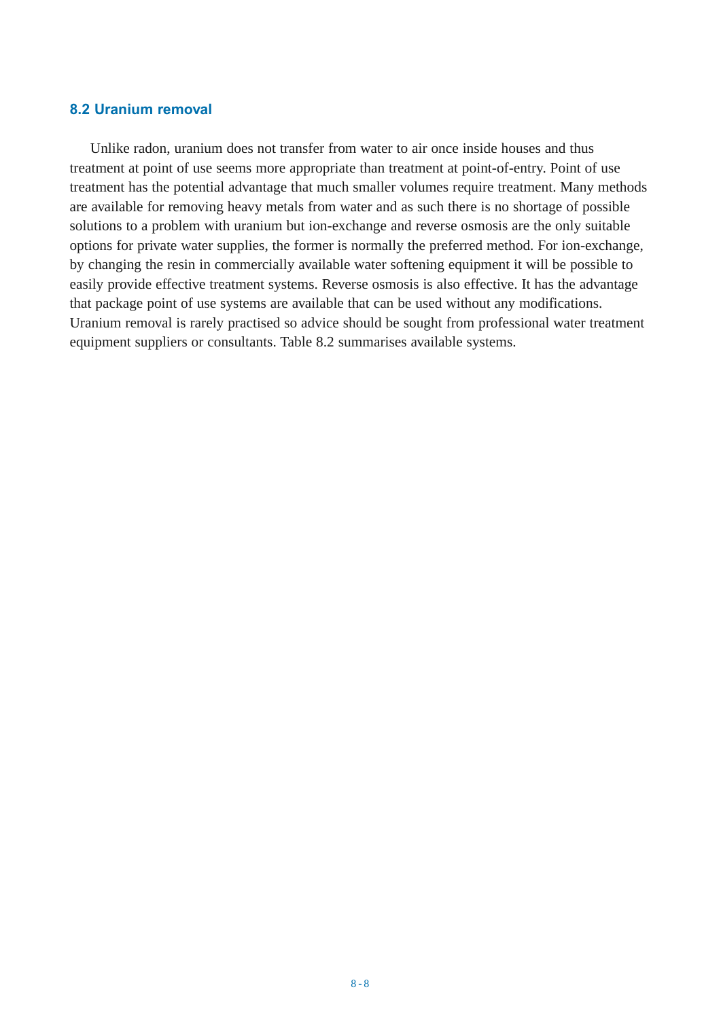## **8.2 Uranium removal**

Unlike radon, uranium does not transfer from water to air once inside houses and thus treatment at point of use seems more appropriate than treatment at point-of-entry. Point of use treatment has the potential advantage that much smaller volumes require treatment. Many methods are available for removing heavy metals from water and as such there is no shortage of possible solutions to a problem with uranium but ion-exchange and reverse osmosis are the only suitable options for private water supplies, the former is normally the preferred method. For ion-exchange, by changing the resin in commercially available water softening equipment it will be possible to easily provide effective treatment systems. Reverse osmosis is also effective. It has the advantage that package point of use systems are available that can be used without any modifications. Uranium removal is rarely practised so advice should be sought from professional water treatment equipment suppliers or consultants. Table 8.2 summarises available systems.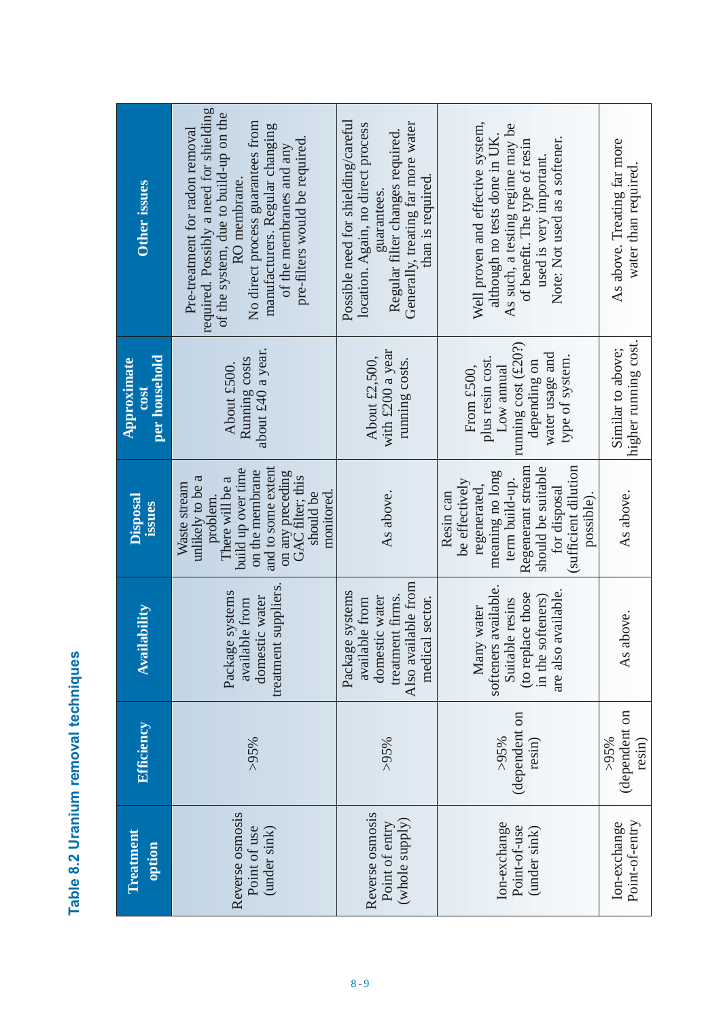| $\overline{\phantom{a}}$ |
|--------------------------|
|                          |
| Ì<br>I                   |
| í                        |

| Treatment<br>option                                 | <b>Efficiency</b>                  | <b>Availability</b>                                                                                                      | <b>Disposal</b><br><b>ISSUICS</b>                                                                                                                                                                 | per household<br>Approximate<br>$\overline{\text{C03}}$                                                                   | <b>Other issues</b>                                                                                                                                                                                                                                                      |
|-----------------------------------------------------|------------------------------------|--------------------------------------------------------------------------------------------------------------------------|---------------------------------------------------------------------------------------------------------------------------------------------------------------------------------------------------|---------------------------------------------------------------------------------------------------------------------------|--------------------------------------------------------------------------------------------------------------------------------------------------------------------------------------------------------------------------------------------------------------------------|
| Reverse osmosis<br>Point of use<br>(under sink)     | $>95\%$                            | suppliers.<br>Package systems<br>domestic water<br>available from<br>treatment                                           | and to some extent<br>build up over time<br>on the membrane<br>on any preceding<br>GAC filter; this<br>unlikely to be a<br>There will be a<br>Waste stream<br>should be<br>monitored.<br>problem. | about £40 a year.<br>Running costs<br>About £500.                                                                         | required. Possibly a need for shielding<br>of the system, due to build-up on the<br>No direct process guarantees from<br>manufacturers. Regular changing<br>Pre-treatment for radon removal<br>pre-filters would be required.<br>of the membranes and any<br>RO membrane |
| Reverse osmosis<br>(whole supply)<br>Point of entry | $>95\%$                            | Also available from<br>Package systems<br>treatment firms.<br>domestic water<br>medical sector.<br>available from        | As above.                                                                                                                                                                                         | with £200 a year<br>About $£2,500,$<br>running costs.                                                                     | Possible need for shielding/careful<br>Generally, treating far more water<br>location. Again, no direct process<br>Regular filter changes required.<br>than is required.<br>guarantees.                                                                                  |
| Ion-exchange<br>Point-of-use<br>(under sink)        | (dependent on<br>$>95\%$<br>resin) | softeners available.<br>available<br>(to replace those<br>in the softeners)<br>Suitable resins<br>Many water<br>are also | Regenerant stream<br>sufficient dilution<br>should be suitable<br>meaning no long<br>be effectively<br>term build-up.<br>regenerated,<br>for disposal<br>Resin can<br>possible).                  | running cost (£20?)<br>water usage and<br>type of system.<br>plus resin cost.<br>depending on<br>From £500,<br>Low annual | Well proven and effective system,<br>As such, a testing regime may be<br>although no tests done in UK.<br>Note: Not used as a softener.<br>of benefit. The type of resin<br>used is very important.                                                                      |
| Point-of-entry<br>Ion-exchange                      | (dependent on<br>$>95\%$<br>resin) | As above.                                                                                                                | As above.                                                                                                                                                                                         | higher running cost.<br>Similar to above;                                                                                 | As above. Treating far more<br>water than required.                                                                                                                                                                                                                      |